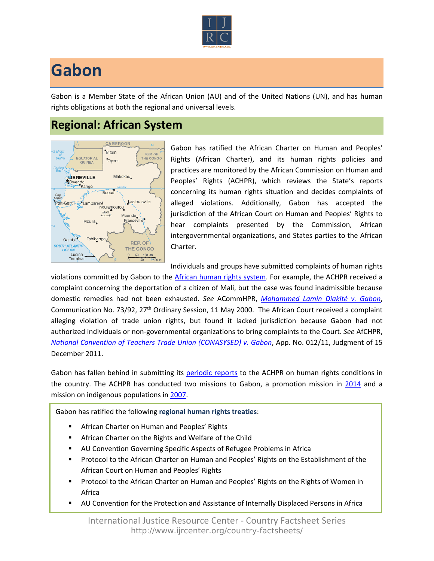

## **Gabon**

Gabon is a Member State of the African Union (AU) and of the United Nations (UN), and has human rights obligations at both the regional and universal levels.

## **Regional: African System**



Gabon has ratified the African Charter on Human and Peoples' Rights (African Charter), and its human rights policies and practices are monitored by the African Commission on Human and Peoples' Rights (ACHPR), which reviews the State's reports concerning its human rights situation and decides complaints of alleged violations. Additionally, Gabon has accepted the jurisdiction of the African Court on Human and Peoples' Rights to hear complaints presented by the Commission, African intergovernmental organizations, and States parties to the African Charter.

Individuals and groups have submitted complaints of human rights

violations committed by Gabon to the [African human rights system](http://www.ijrcenter.org/regional/african/). For example, the ACHPR received a complaint concerning the deportation of a citizen of Mali, but the case was found inadmissible because domestic remedies had not been exhausted. *See* ACommHPR, *[Mohammed Lamin Diakité v. Gabon](http://old.achpr.org/english/Decison_Communication/Gabon/73-92_activity13_en.pdf)*, Communication No. 73/92, 27th Ordinary Session, 11 May 2000. The African Court received a complaint alleging violation of trade union rights, but found it lacked jurisdiction because Gabon had not authorized individuals or non-governmental organizations to bring complaints to the Court. *See* AfCHPR, *[National Convention of Teachers Trade Union \(CONASYSED\) v. Gabon](http://www.african-court.org/en/images/documents/Court/Cases/Judgment/Decision%20for%20Application%20No.012.2011%20CONASYSED%20V.%20GABON.pdf)*, App. No. 012/11, Judgment of 15 December 2011.

Gabon has fallen behind in submitting its [periodic reports](http://www.achpr.org/states/gabon/) to the ACHPR on human rights conditions in the country. The ACHPR has conducted two missions to Gabon, a promotion mission in [2014](http://www.achpr.org/states/gabon/missions/gabon-promo-2014/) and a mission on indigenous populations in [2007.](http://www.achpr.org/states/gabon/missions/indigenous-2007/)

Gabon has ratified the following **regional human rights treaties**:

- African Charter on Human and Peoples' Rights
- African Charter on the Rights and Welfare of the Child
- AU Convention Governing Specific Aspects of Refugee Problems in Africa
- Protocol to the African Charter on Human and Peoples' Rights on the Establishment of the African Court on Human and Peoples' Rights
- **Protocol to the African Charter on Human and Peoples' Rights on the Rights of Women in** Africa
- AU Convention for the Protection and Assistance of Internally Displaced Persons in Africa